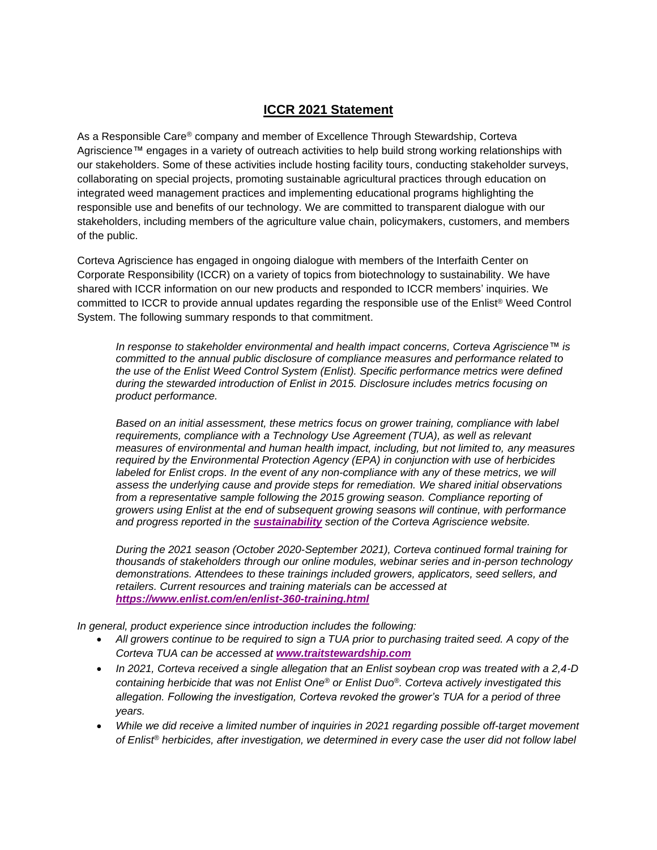## **ICCR 2021 Statement**

As a Responsible Care® company and member of Excellence Through Stewardship, Corteva Agriscience*™* engages in a variety of outreach activities to help build strong working relationships with our stakeholders. Some of these activities include hosting facility tours, conducting stakeholder surveys, collaborating on special projects, promoting sustainable agricultural practices through education on integrated weed management practices and implementing educational programs highlighting the responsible use and benefits of our technology. We are committed to transparent dialogue with our stakeholders, including members of the agriculture value chain, policymakers, customers, and members of the public.

Corteva Agriscience has engaged in ongoing dialogue with members of the Interfaith Center on Corporate Responsibility (ICCR) on a variety of topics from biotechnology to sustainability. We have shared with ICCR information on our new products and responded to ICCR members' inquiries. We committed to ICCR to provide annual updates regarding the responsible use of the Enlist® Weed Control System. The following summary responds to that commitment.

*In response to stakeholder environmental and health impact concerns, Corteva Agriscience™ is committed to the annual public disclosure of compliance measures and performance related to the use of the Enlist Weed Control System (Enlist). Specific performance metrics were defined during the stewarded introduction of Enlist in 2015. Disclosure includes metrics focusing on product performance.* 

*Based on an initial assessment, these metrics focus on grower training, compliance with label requirements, compliance with a Technology Use Agreement (TUA), as well as relevant measures of environmental and human health impact, including, but not limited to, any measures required by the Environmental Protection Agency (EPA) in conjunction with use of herbicides labeled for Enlist crops. In the event of any non-compliance with any of these metrics, we will assess the underlying cause and provide steps for remediation. We shared initial observations*  from a representative sample following the 2015 growing season. Compliance reporting of *growers using Enlist at the end of subsequent growing seasons will continue, with performance and progress reported in the [sustainability](https://www.corteva.us/who-we-are/sustainability.html) section of the Corteva Agriscience website.*

*During the 2021 season (October 2020-September 2021), Corteva continued formal training for thousands of stakeholders through our online modules, webinar series and in-person technology demonstrations. Attendees to these trainings included growers, applicators, seed sellers, and retailers. Current resources and training materials can be accessed at <https://www.enlist.com/en/enlist-360-training.html>*

*In general, product experience since introduction includes the following:*

- *All growers continue to be required to sign a TUA prior to purchasing traited seed. A copy of the Corteva TUA can be accessed at [www.traitstewardship.com](http://www.traitstewardship.com/)*
- *In 2021, Corteva received a single allegation that an Enlist soybean crop was treated with a 2,4-D containing herbicide that was not Enlist One® or Enlist Duo®. Corteva actively investigated this allegation. Following the investigation, Corteva revoked the grower's TUA for a period of three years.*
- *While we did receive a limited number of inquiries in 2021 regarding possible off-target movement of Enlist® herbicides, after investigation, we determined in every case the user did not follow label*